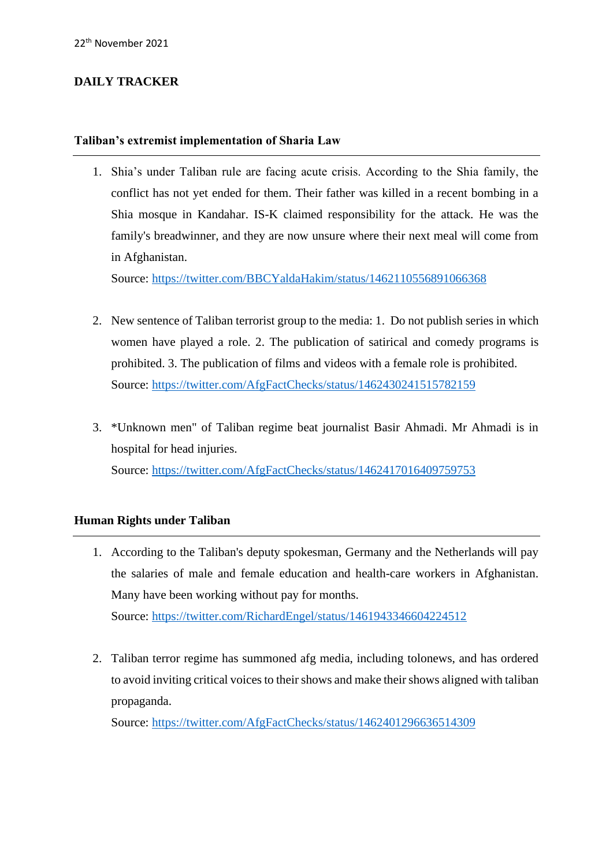## **DAILY TRACKER**

## **Taliban's extremist implementation of Sharia Law**

1. Shia's under Taliban rule are facing acute crisis. According to the Shia family, the conflict has not yet ended for them. Their father was killed in a recent bombing in a Shia mosque in Kandahar. IS-K claimed responsibility for the attack. He was the family's breadwinner, and they are now unsure where their next meal will come from in Afghanistan.

Source:<https://twitter.com/BBCYaldaHakim/status/1462110556891066368>

- 2. New sentence of Taliban terrorist group to the media: 1. Do not publish series in which women have played a role. 2. The publication of satirical and comedy programs is prohibited. 3. The publication of films and videos with a female role is prohibited. Source: <https://twitter.com/AfgFactChecks/status/1462430241515782159>
- 3. \*Unknown men" of Taliban regime beat journalist Basir Ahmadi. Mr Ahmadi is in hospital for head injuries. Source: <https://twitter.com/AfgFactChecks/status/1462417016409759753>

## **Human Rights under Taliban**

- 1. According to the Taliban's deputy spokesman, Germany and the Netherlands will pay the salaries of male and female education and health-care workers in Afghanistan. Many have been working without pay for months. Source: <https://twitter.com/RichardEngel/status/1461943346604224512>
- 2. Taliban terror regime has summoned afg media, including tolonews, and has ordered to avoid inviting critical voices to their shows and make their shows aligned with taliban propaganda.

Source: <https://twitter.com/AfgFactChecks/status/1462401296636514309>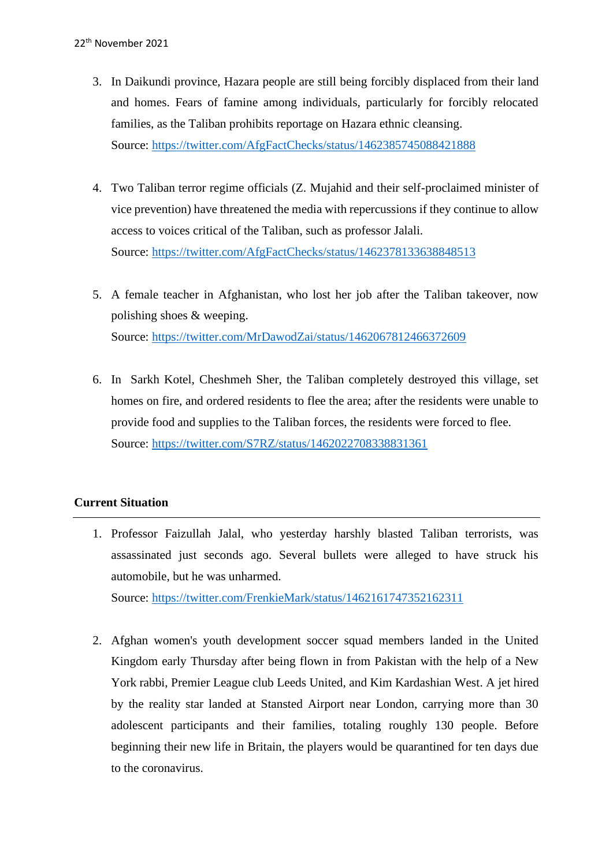- 3. In Daikundi province, Hazara people are still being forcibly displaced from their land and homes. Fears of famine among individuals, particularly for forcibly relocated families, as the Taliban prohibits reportage on Hazara ethnic cleansing. Source: <https://twitter.com/AfgFactChecks/status/1462385745088421888>
- 4. Two Taliban terror regime officials (Z. Mujahid and their self-proclaimed minister of vice prevention) have threatened the media with repercussions if they continue to allow access to voices critical of the Taliban, such as professor Jalali. Source: <https://twitter.com/AfgFactChecks/status/1462378133638848513>
- 5. A female teacher in Afghanistan, who lost her job after the Taliban takeover, now polishing shoes & weeping. Source: <https://twitter.com/MrDawodZai/status/1462067812466372609>
- 6. In Sarkh Kotel, Cheshmeh Sher, the Taliban completely destroyed this village, set homes on fire, and ordered residents to flee the area; after the residents were unable to provide food and supplies to the Taliban forces, the residents were forced to flee. Source:<https://twitter.com/S7RZ/status/1462022708338831361>

## **Current Situation**

1. Professor Faizullah Jalal, who yesterday harshly blasted Taliban terrorists, was assassinated just seconds ago. Several bullets were alleged to have struck his automobile, but he was unharmed.

Source: <https://twitter.com/FrenkieMark/status/1462161747352162311>

2. Afghan women's youth development soccer squad members landed in the United Kingdom early Thursday after being flown in from Pakistan with the help of a New York rabbi, Premier League club Leeds United, and Kim Kardashian West. A jet hired by the reality star landed at Stansted Airport near London, carrying more than 30 adolescent participants and their families, totaling roughly 130 people. Before beginning their new life in Britain, the players would be quarantined for ten days due to the coronavirus.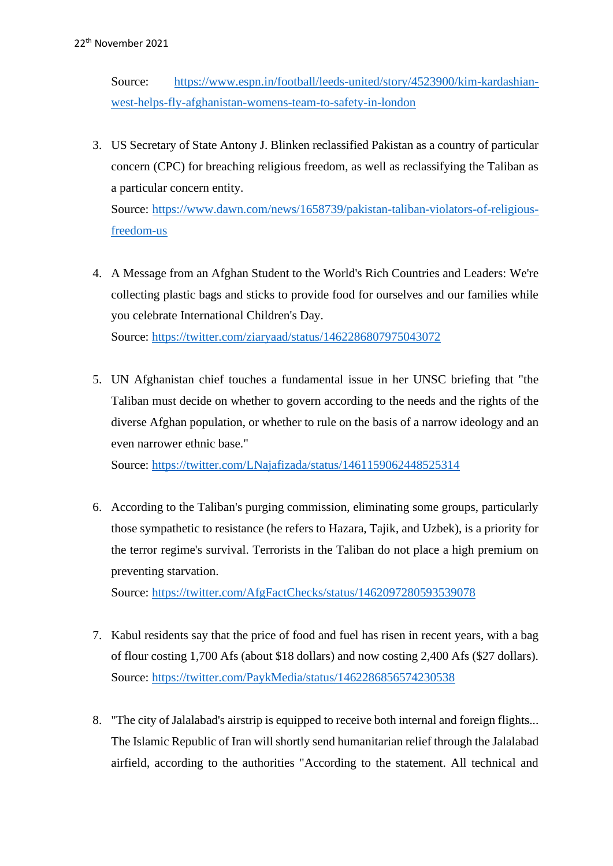Source: [https://www.espn.in/football/leeds-united/story/4523900/kim-kardashian](https://www.espn.in/football/leeds-united/story/4523900/kim-kardashian-west-helps-fly-afghanistan-womens-team-to-safety-in-london)[west-helps-fly-afghanistan-womens-team-to-safety-in-london](https://www.espn.in/football/leeds-united/story/4523900/kim-kardashian-west-helps-fly-afghanistan-womens-team-to-safety-in-london)

3. US Secretary of State Antony J. Blinken reclassified Pakistan as a country of particular concern (CPC) for breaching religious freedom, as well as reclassifying the Taliban as a particular concern entity.

Source: [https://www.dawn.com/news/1658739/pakistan-taliban-violators-of-religious](https://www.dawn.com/news/1658739/pakistan-taliban-violators-of-religious-freedom-us)[freedom-us](https://www.dawn.com/news/1658739/pakistan-taliban-violators-of-religious-freedom-us)

4. A Message from an Afghan Student to the World's Rich Countries and Leaders: We're collecting plastic bags and sticks to provide food for ourselves and our families while you celebrate International Children's Day. Source: <https://twitter.com/ziaryaad/status/1462286807975043072>

5. UN Afghanistan chief touches a fundamental issue in her UNSC briefing that "the

Taliban must decide on whether to govern according to the needs and the rights of the diverse Afghan population, or whether to rule on the basis of a narrow ideology and an even narrower ethnic base."

Source: <https://twitter.com/LNajafizada/status/1461159062448525314>

6. According to the Taliban's purging commission, eliminating some groups, particularly those sympathetic to resistance (he refers to Hazara, Tajik, and Uzbek), is a priority for the terror regime's survival. Terrorists in the Taliban do not place a high premium on preventing starvation.

Source:<https://twitter.com/AfgFactChecks/status/1462097280593539078>

- 7. Kabul residents say that the price of food and fuel has risen in recent years, with a bag of flour costing 1,700 Afs (about \$18 dollars) and now costing 2,400 Afs (\$27 dollars). Source:<https://twitter.com/PaykMedia/status/1462286856574230538>
- 8. "The city of Jalalabad's airstrip is equipped to receive both internal and foreign flights... The Islamic Republic of Iran will shortly send humanitarian relief through the Jalalabad airfield, according to the authorities "According to the statement. All technical and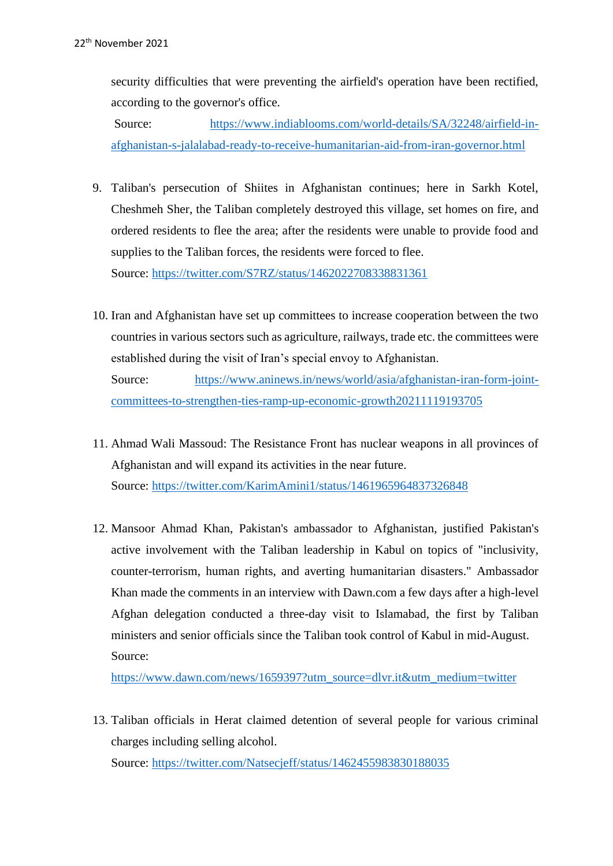security difficulties that were preventing the airfield's operation have been rectified, according to the governor's office.

Source: [https://www.indiablooms.com/world-details/SA/32248/airfield-in](https://www.indiablooms.com/world-details/SA/32248/airfield-in-afghanistan-s-jalalabad-ready-to-receive-humanitarian-aid-from-iran-governor.html)[afghanistan-s-jalalabad-ready-to-receive-humanitarian-aid-from-iran-governor.html](https://www.indiablooms.com/world-details/SA/32248/airfield-in-afghanistan-s-jalalabad-ready-to-receive-humanitarian-aid-from-iran-governor.html)

- 9. Taliban's persecution of Shiites in Afghanistan continues; here in Sarkh Kotel, Cheshmeh Sher, the Taliban completely destroyed this village, set homes on fire, and ordered residents to flee the area; after the residents were unable to provide food and supplies to the Taliban forces, the residents were forced to flee. Source:<https://twitter.com/S7RZ/status/1462022708338831361>
- 10. Iran and Afghanistan have set up committees to increase cooperation between the two countries in various sectors such as agriculture, railways, trade etc. the committees were established during the visit of Iran's special envoy to Afghanistan. Source: [https://www.aninews.in/news/world/asia/afghanistan-iran-form-joint](https://www.aninews.in/news/world/asia/afghanistan-iran-form-joint-committees-to-strengthen-ties-ramp-up-economic-growth20211119193705)[committees-to-strengthen-ties-ramp-up-economic-growth20211119193705](https://www.aninews.in/news/world/asia/afghanistan-iran-form-joint-committees-to-strengthen-ties-ramp-up-economic-growth20211119193705)
- 11. Ahmad Wali Massoud: The Resistance Front has nuclear weapons in all provinces of Afghanistan and will expand its activities in the near future. Source: <https://twitter.com/KarimAmini1/status/1461965964837326848>
- 12. Mansoor Ahmad Khan, Pakistan's ambassador to Afghanistan, justified Pakistan's active involvement with the Taliban leadership in Kabul on topics of "inclusivity, counter-terrorism, human rights, and averting humanitarian disasters." Ambassador Khan made the comments in an interview with Dawn.com a few days after a high-level Afghan delegation conducted a three-day visit to Islamabad, the first by Taliban ministers and senior officials since the Taliban took control of Kabul in mid-August. Source:

[https://www.dawn.com/news/1659397?utm\\_source=dlvr.it&utm\\_medium=twitter](https://www.dawn.com/news/1659397?utm_source=dlvr.it&utm_medium=twitter)

13. Taliban officials in Herat claimed detention of several people for various criminal charges including selling alcohol. Source: <https://twitter.com/Natsecjeff/status/1462455983830188035>